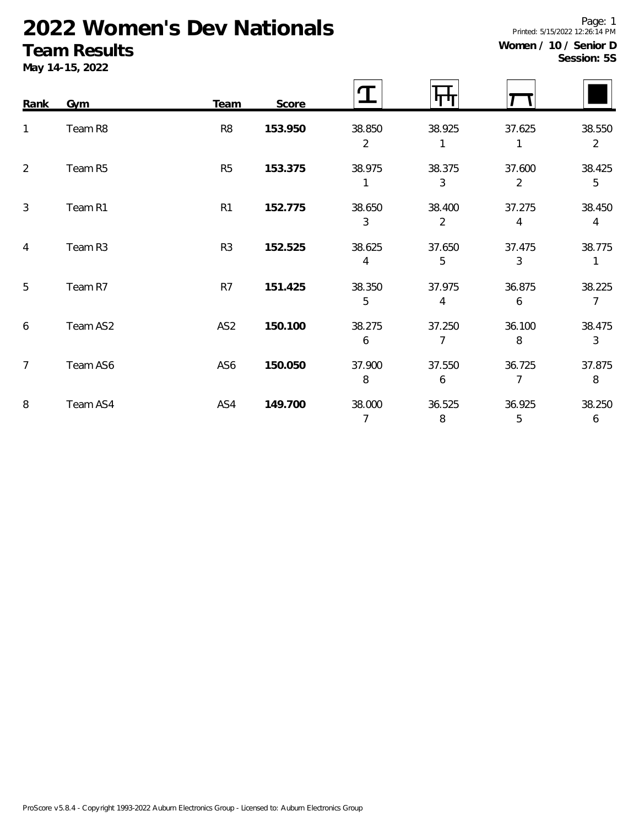# **2022 Women's Dev Nationals**

#### **Team Results**

**May 14-15, 2022**

|  | Session: 5S |  |
|--|-------------|--|

| Rank           | Gym      | <b>Team</b>     | Score   |                          | ΤП                       |                          |                          |
|----------------|----------|-----------------|---------|--------------------------|--------------------------|--------------------------|--------------------------|
| 1              | Team R8  | R <sub>8</sub>  | 153.950 | 38.850<br>$\overline{2}$ | 38.925                   | 37.625                   | 38.550<br>$\overline{2}$ |
| 2              | Team R5  | R <sub>5</sub>  | 153.375 | 38.975                   | 38.375<br>3              | 37.600<br>$\overline{2}$ | 38.425<br>5              |
| 3              | Team R1  | R1              | 152.775 | 38.650<br>3              | 38.400<br>$\overline{2}$ | 37.275<br>4              | 38.450<br>$\overline{4}$ |
| 4              | Team R3  | R <sub>3</sub>  | 152.525 | 38.625<br>4              | 37.650<br>5              | 37.475<br>3              | 38.775                   |
| 5              | Team R7  | R7              | 151.425 | 38.350<br>5              | 37.975<br>4              | 36.875<br>6              | 38.225<br>$\overline{7}$ |
| 6              | Team AS2 | AS <sub>2</sub> | 150.100 | 38.275<br>6              | 37.250<br>7              | 36.100<br>8              | 38.475<br>3              |
| $\overline{7}$ | Team AS6 | AS6             | 150.050 | 37.900<br>8              | 37.550<br>6              | 36.725<br>$\overline{7}$ | 37.875<br>8              |
| 8              | Team AS4 | AS4             | 149.700 | 38.000<br>$\overline{7}$ | 36.525<br>8              | 36.925<br>5              | 38.250<br>6              |

Page: 1 Printed: 5/15/2022 12:26:14 PM **Women / 10 / Senior D**

r

 $\mathbf{r}$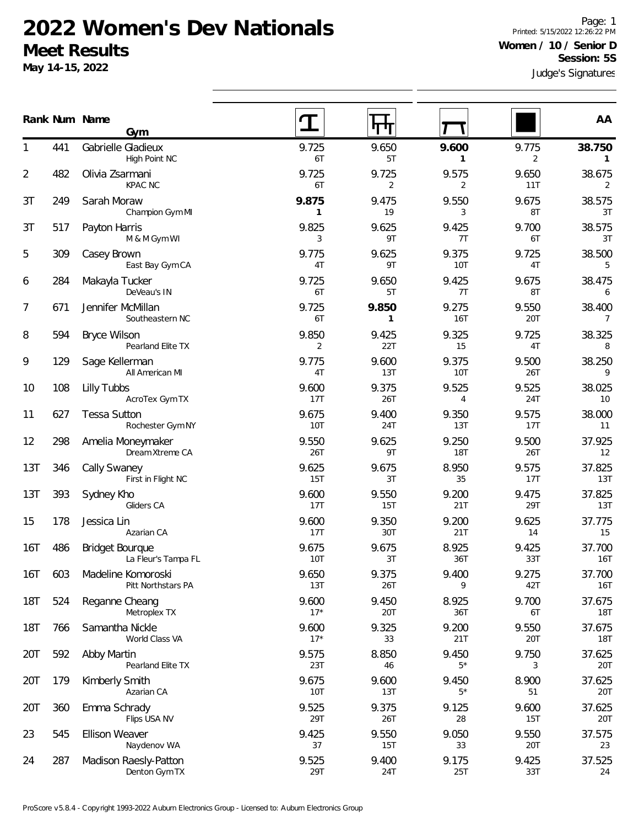## **2022 Women's Dev Nationals Meet Results**

**May 14-15, 2022**

Page: 1 Printed: 5/15/2022 12:26:22 PM **Women / 10 / Senior D Session: 5S**

Judge's Signatures

|                |     | Rank Num Name<br>Gym                          |                         |              |                     |              | AA                     |
|----------------|-----|-----------------------------------------------|-------------------------|--------------|---------------------|--------------|------------------------|
|                | 441 | Gabrielle Gladieux<br>High Point NC           | 9.725<br>6T             | 9.650<br>5T  | 9.600<br>1          | 9.775<br>2   | 38.750<br>$\mathbf{1}$ |
| $\overline{2}$ | 482 | Olivia Zsarmani<br><b>KPAC NC</b>             | 9.725<br>6T             | 9.725<br>2   | 9.575<br>2          | 9.650<br>11T | 38.675<br>2            |
| 3T             | 249 | Sarah Moraw<br>Champion Gym MI                | 9.875<br>1              | 9.475<br>19  | 9.550<br>3          | 9.675<br>8T  | 38.575<br>3T           |
| 3T             | 517 | Payton Harris<br>M & M Gym WI                 | 9.825<br>3              | 9.625<br>9T  | 9.425<br>7T         | 9.700<br>6T  | 38.575<br>3T           |
| 5              | 309 | Casey Brown<br>East Bay Gym CA                | 9.775<br>4T             | 9.625<br>9T  | 9.375<br>10T        | 9.725<br>4T  | 38.500<br>5            |
| 6              | 284 | Makayla Tucker<br>DeVeau's IN                 | 9.725<br>6T             | 9.650<br>5T  | 9.425<br>7T         | 9.675<br>8T  | 38.475<br>6            |
| 7              | 671 | Jennifer McMillan<br>Southeastern NC          | 9.725<br>6T             | 9.850<br>1   | 9.275<br>16T        | 9.550<br>20T | 38.400<br>7            |
| 8              | 594 | <b>Bryce Wilson</b><br>Pearland Elite TX      | 9.850<br>$\overline{2}$ | 9.425<br>22T | 9.325<br>15         | 9.725<br>4T  | 38.325<br>8            |
| 9              | 129 | Sage Kellerman<br>All American MI             | 9.775<br>4T             | 9.600<br>13T | 9.375<br>10T        | 9.500<br>26T | 38.250<br>9            |
| 10             | 108 | Lilly Tubbs<br>AcroTex Gym TX                 | 9.600<br>17T            | 9.375<br>26T | 9.525<br>4          | 9.525<br>24T | 38.025<br>10           |
| 11             | 627 | <b>Tessa Sutton</b><br>Rochester Gym NY       | 9.675<br><b>10T</b>     | 9.400<br>24T | 9.350<br>13T        | 9.575<br>17T | 38.000<br>11           |
| 12             | 298 | Amelia Moneymaker<br>Dream Xtreme CA          | 9.550<br>26T            | 9.625<br>9T  | 9.250<br><b>18T</b> | 9.500<br>26T | 37.925<br>12           |
| 13T            | 346 | Cally Swaney<br>First in Flight NC            | 9.625<br>15T            | 9.675<br>3T  | 8.950<br>35         | 9.575<br>17T | 37.825<br>13T          |
| 13T            | 393 | Sydney Kho<br>Gliders CA                      | 9.600<br>17T            | 9.550<br>15T | 9.200<br>21T        | 9.475<br>29T | 37.825<br>13T          |
| 15             | 178 | Jessica Lin<br>Azarian CA                     | 9.600<br>17T            | 9.350<br>30T | 9.200<br>21T        | 9.625<br>14  | 37.775<br>15           |
| 16T            | 486 | <b>Bridget Bourgue</b><br>La Fleur's Tampa FL | 9.675<br>10T            | 9.675<br>3T  | 8.925<br>36T        | 9.425<br>33T | 37.700<br>16T          |
| 16T            | 603 | Madeline Komoroski<br>Pitt Northstars PA      | 9.650<br>13T            | 9.375<br>26T | 9.400<br>9          | 9.275<br>42T | 37.700<br>16T          |
| <b>18T</b>     | 524 | Reganne Cheang<br>Metroplex TX                | 9.600<br>$17*$          | 9.450<br>20T | 8.925<br>36T        | 9.700<br>6T  | 37.675<br>18T          |
| <b>18T</b>     | 766 | Samantha Nickle<br>World Class VA             | 9.600<br>$17*$          | 9.325<br>33  | 9.200<br>21T        | 9.550<br>20T | 37.675<br>18T          |
| 20T            | 592 | Abby Martin<br>Pearland Elite TX              | 9.575<br>23T            | 8.850<br>46  | 9.450<br>$5*$       | 9.750<br>3   | 37.625<br>20T          |
| 20T            | 179 | Kimberly Smith<br>Azarian CA                  | 9.675<br><b>10T</b>     | 9.600<br>13T | 9.450<br>$5*$       | 8.900<br>51  | 37.625<br>20T          |
| 20T            | 360 | Emma Schrady<br>Flips USA NV                  | 9.525<br>29T            | 9.375<br>26T | 9.125<br>28         | 9.600<br>15T | 37.625<br>20T          |
| 23             | 545 | <b>Ellison Weaver</b><br>Naydenov WA          | 9.425<br>37             | 9.550<br>15T | 9.050<br>33         | 9.550<br>20T | 37.575<br>23           |
| 24             | 287 | Madison Raesly-Patton<br>Denton Gym TX        | 9.525<br>29T            | 9.400<br>24T | 9.175<br>25T        | 9.425<br>33T | 37.525<br>24           |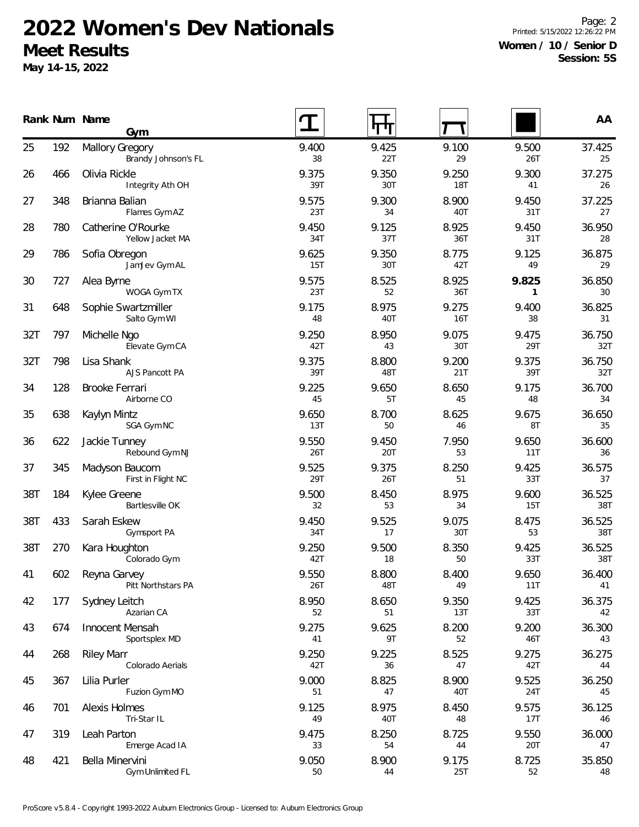## **2022 Women's Dev Nationals Meet Results**

**May 14-15, 2022**

Page: 2 Printed: 5/15/2022 12:26:22 PM **Women / 10 / Senior D Session: 5S**

|     |     | Rank Num Name<br>Gym                          |              |              |              |              | AA            |
|-----|-----|-----------------------------------------------|--------------|--------------|--------------|--------------|---------------|
| 25  | 192 | <b>Mallory Gregory</b><br>Brandy Johnson's FL | 9.400<br>38  | 9.425<br>22T | 9.100<br>29  | 9.500<br>26T | 37.425<br>25  |
| 26  | 466 | Olivia Rickle<br>Integrity Ath OH             | 9.375<br>39T | 9.350<br>30T | 9.250<br>18T | 9.300<br>41  | 37.275<br>26  |
| 27  | 348 | Brianna Balian<br>Flames Gym AZ               | 9.575<br>23T | 9.300<br>34  | 8.900<br>40T | 9.450<br>31T | 37.225<br>27  |
| 28  | 780 | Catherine O'Rourke<br>Yellow Jacket MA        | 9.450<br>34T | 9.125<br>37T | 8.925<br>36T | 9.450<br>31T | 36.950<br>28  |
| 29  | 786 | Sofia Obregon<br>JamJev Gym AL                | 9.625<br>15T | 9.350<br>30T | 8.775<br>42T | 9.125<br>49  | 36.875<br>29  |
| 30  | 727 | Alea Byrne<br>WOGA Gym TX                     | 9.575<br>23T | 8.525<br>52  | 8.925<br>36T | 9.825<br>1   | 36.850<br>30  |
| 31  | 648 | Sophie Swartzmiller<br>Salto Gym WI           | 9.175<br>48  | 8.975<br>40T | 9.275<br>16T | 9.400<br>38  | 36.825<br>31  |
| 32T | 797 | Michelle Ngo<br>Elevate Gym CA                | 9.250<br>42T | 8.950<br>43  | 9.075<br>30T | 9.475<br>29T | 36.750<br>32T |
| 32T | 798 | Lisa Shank<br>AJS Pancott PA                  | 9.375<br>39T | 8.800<br>48T | 9.200<br>21T | 9.375<br>39T | 36.750<br>32T |
| 34  | 128 | Brooke Ferrari<br>Airborne CO                 | 9.225<br>45  | 9.650<br>5T  | 8.650<br>45  | 9.175<br>48  | 36.700<br>34  |
| 35  | 638 | Kaylyn Mintz<br>SGA Gym NC                    | 9.650<br>13T | 8.700<br>50  | 8.625<br>46  | 9.675<br>8T  | 36.650<br>35  |
| 36  | 622 | Jackie Tunney<br>Rebound Gym NJ               | 9.550<br>26T | 9.450<br>20T | 7.950<br>53  | 9.650<br>11T | 36.600<br>36  |
| 37  | 345 | Madyson Baucom<br>First in Flight NC          | 9.525<br>29T | 9.375<br>26T | 8.250<br>51  | 9.425<br>33T | 36.575<br>37  |
| 38T | 184 | Kylee Greene<br>Bartlesville OK               | 9.500<br>32  | 8.450<br>53  | 8.975<br>34  | 9.600<br>15T | 36.525<br>38T |
| 38T | 433 | Sarah Eskew<br>Gymsport PA                    | 9.450<br>34T | 9.525<br>17  | 9.075<br>30T | 8.475<br>53  | 36.525<br>38T |
| 38T | 270 | Kara Houghton<br>Colorado Gym                 | 9.250<br>42T | 9.500<br>18  | 8.350<br>50  | 9.425<br>33T | 36.525<br>38T |
| 41  | 602 | Reyna Garvey<br>Pitt Northstars PA            | 9.550<br>26T | 8.800<br>48T | 8.400<br>49  | 9.650<br>11T | 36.400<br>41  |
| 42  | 177 | Sydney Leitch<br>Azarian CA                   | 8.950<br>52  | 8.650<br>51  | 9.350<br>13T | 9.425<br>33T | 36.375<br>42  |
| 43  | 674 | Innocent Mensah<br>Sportsplex MD              | 9.275<br>41  | 9.625<br>9T  | 8.200<br>52  | 9.200<br>46T | 36.300<br>43  |
| 44  | 268 | <b>Riley Marr</b><br>Colorado Aerials         | 9.250<br>42T | 9.225<br>36  | 8.525<br>47  | 9.275<br>42T | 36.275<br>44  |
| 45  | 367 | Lilia Purler<br>Fuzion Gym MO                 | 9.000<br>51  | 8.825<br>47  | 8.900<br>40T | 9.525<br>24T | 36.250<br>45  |
| 46  | 701 | Alexis Holmes<br>Tri-Star IL                  | 9.125<br>49  | 8.975<br>40T | 8.450<br>48  | 9.575<br>17T | 36.125<br>46  |
| 47  | 319 | Leah Parton<br>Emerge Acad IA                 | 9.475<br>33  | 8.250<br>54  | 8.725<br>44  | 9.550<br>20T | 36.000<br>47  |
| 48  | 421 | Bella Minervini<br>Gym Unlimited FL           | 9.050<br>50  | 8.900<br>44  | 9.175<br>25T | 8.725<br>52  | 35.850<br>48  |